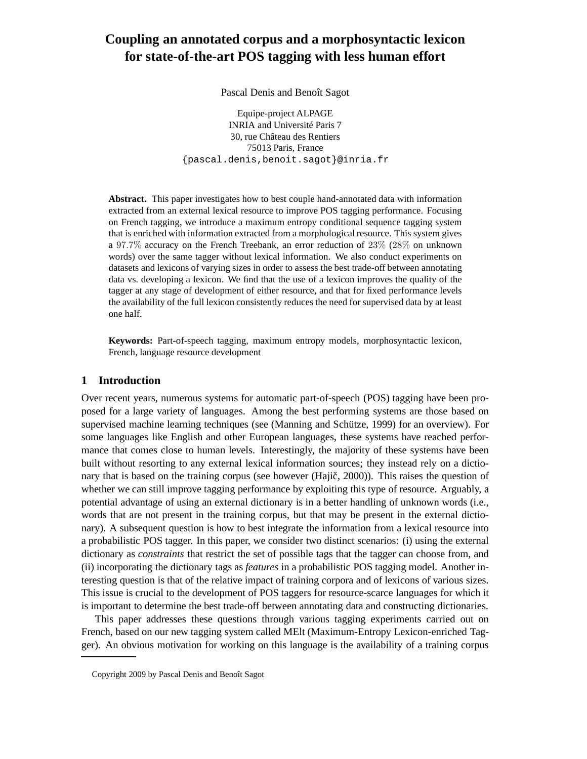# **Coupling an annotated corpus and a morphosyntactic lexicon for state-of-the-art POS tagging with less human effort**

Pascal Denis and Benoît Sagot

Equipe-project ALPAGE INRIA and Université Paris 7 30, rue Château des Rentiers 75013 Paris, France {pascal.denis,benoit.sagot}@inria.fr

**Abstract.** This paper investigates how to best couple hand-annotated data with information extracted from an external lexical resource to improve POS tagging performance. Focusing on French tagging, we introduce a maximum entropy conditional sequence tagging system that is enriched with information extracted from a morphological resource. This system gives a 97.7% accuracy on the French Treebank, an error reduction of 23% (28% on unknown words) over the same tagger without lexical information. We also conduct experiments on datasets and lexicons of varying sizes in order to assess the best trade-off between annotating data vs. developing a lexicon. We find that the use of a lexicon improves the quality of the tagger at any stage of development of either resource, and that for fixed performance levels the availability of the full lexicon consistently reduces the need for supervised data by at least one half.

**Keywords:** Part-of-speech tagging, maximum entropy models, morphosyntactic lexicon, French, language resource development

### **1 Introduction**

Over recent years, numerous systems for automatic part-of-speech (POS) tagging have been proposed for a large variety of languages. Among the best performing systems are those based on supervised machine learning techniques (see (Manning and Schütze, 1999) for an overview). For some languages like English and other European languages, these systems have reached performance that comes close to human levels. Interestingly, the majority of these systems have been built without resorting to any external lexical information sources; they instead rely on a dictionary that is based on the training corpus (see however  $(Hai<sub>i</sub>), 2000$ )). This raises the question of whether we can still improve tagging performance by exploiting this type of resource. Arguably, a potential advantage of using an external dictionary is in a better handling of unknown words (i.e., words that are not present in the training corpus, but that may be present in the external dictionary). A subsequent question is how to best integrate the information from a lexical resource into a probabilistic POS tagger. In this paper, we consider two distinct scenarios: (i) using the external dictionary as *constraints* that restrict the set of possible tags that the tagger can choose from, and (ii) incorporating the dictionary tags as *features* in a probabilistic POS tagging model. Another interesting question is that of the relative impact of training corpora and of lexicons of various sizes. This issue is crucial to the development of POS taggers for resource-scarce languages for which it is important to determine the best trade-off between annotating data and constructing dictionaries.

This paper addresses these questions through various tagging experiments carried out on French, based on our new tagging system called MElt (Maximum-Entropy Lexicon-enriched Tagger). An obvious motivation for working on this language is the availability of a training corpus

Copyright 2009 by Pascal Denis and Benoît Sagot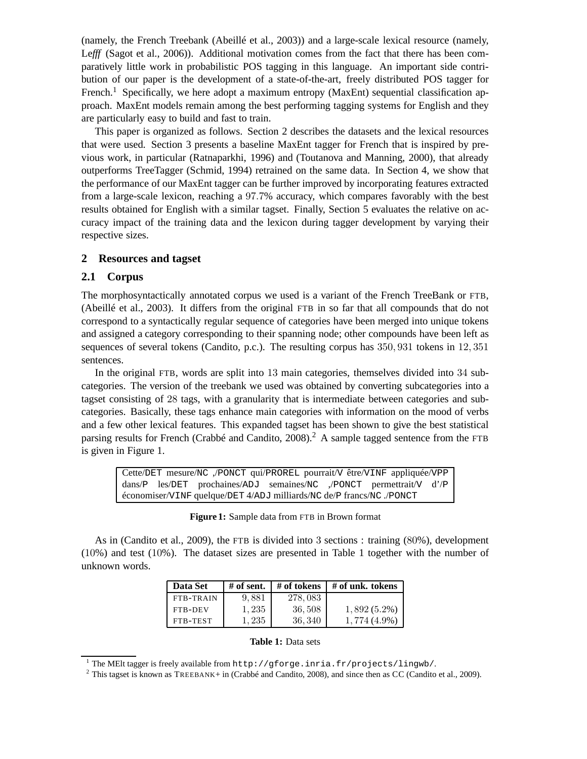(namely, the French Treebank (Abeillé et al., 2003)) and a large-scale lexical resource (namely, Lefff (Sagot et al., 2006)). Additional motivation comes from the fact that there has been comparatively little work in probabilistic POS tagging in this language. An important side contribution of our paper is the development of a state-of-the-art, freely distributed POS tagger for French.<sup>1</sup> Specifically, we here adopt a maximum entropy (MaxEnt) sequential classification approach. MaxEnt models remain among the best performing tagging systems for English and they are particularly easy to build and fast to train.

This paper is organized as follows. Section 2 describes the datasets and the lexical resources that were used. Section 3 presents a baseline MaxEnt tagger for French that is inspired by previous work, in particular (Ratnaparkhi, 1996) and (Toutanova and Manning, 2000), that already outperforms TreeTagger (Schmid, 1994) retrained on the same data. In Section 4, we show that the performance of our MaxEnt tagger can be further improved by incorporating features extracted from a large-scale lexicon, reaching a 97.7% accuracy, which compares favorably with the best results obtained for English with a similar tagset. Finally, Section 5 evaluates the relative on accuracy impact of the training data and the lexicon during tagger development by varying their respective sizes.

### **2 Resources and tagset**

#### **2.1 Corpus**

The morphosyntactically annotated corpus we used is a variant of the French TreeBank or FTB, (Abeillé et al., 2003). It differs from the original FTB in so far that all compounds that do not correspond to a syntactically regular sequence of categories have been merged into unique tokens and assigned a category corresponding to their spanning node; other compounds have been left as sequences of several tokens (Candito, p.c.). The resulting corpus has 350, 931 tokens in 12, 351 sentences.

In the original FTB, words are split into 13 main categories, themselves divided into 34 subcategories. The version of the treebank we used was obtained by converting subcategories into a tagset consisting of 28 tags, with a granularity that is intermediate between categories and subcategories. Basically, these tags enhance main categories with information on the mood of verbs and a few other lexical features. This expanded tagset has been shown to give the best statistical parsing results for French (Crabbé and Candito, 2008).<sup>2</sup> A sample tagged sentence from the FTB is given in Figure 1.

Cette/DET mesure/NC ,/PONCT qui/PROREL pourrait/V être/VINF appliquée/VPP dans/P les/DET prochaines/ADJ semaines/NC ,/PONCT permettrait/V d'/P économiser/VINF quelque/DET 4/ADJ milliards/NC de/P francs/NC ./PONCT

**Figure 1:** Sample data from FTB in Brown format

As in (Candito et al., 2009), the FTB is divided into 3 sections : training (80%), development (10%) and test (10%). The dataset sizes are presented in Table 1 together with the number of unknown words.

| Data Set       | # of sent. | # of tokens | # of unk. tokens |
|----------------|------------|-------------|------------------|
| FTB-TRAIN      | 9,881      | 278,083     |                  |
| <b>FTB-DEV</b> | 1,235      | 36,508      | $1,892(5.2\%)$   |
| FTB-TEST       | 1.235      | 36, 340     | $1,774(4.9\%)$   |

#### **Table 1:** Data sets

<sup>1</sup> The MElt tagger is freely available from http://gforge.inria.fr/projects/lingwb/.

<sup>&</sup>lt;sup>2</sup> This tagset is known as TREEBANK+ in (Crabbé and Candito, 2008), and since then as CC (Candito et al., 2009).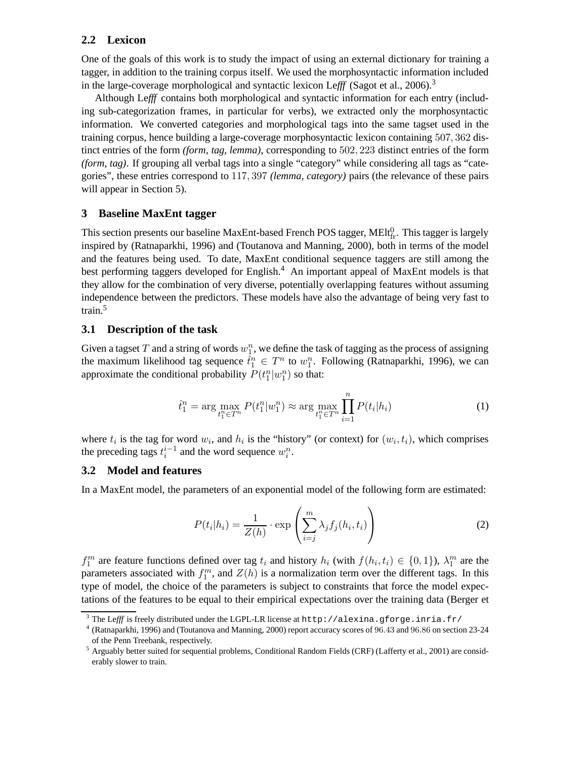### **2.2 Lexicon**

One of the goals of this work is to study the impact of using an external dictionary for training a tagger, in addition to the training corpus itself. We used the morphosyntactic information included in the large-coverage morphological and syntactic lexicon Lefff (Sagot et al.,  $2006$ ).<sup>3</sup>

Although Le*fff* contains both morphological and syntactic information for each entry (including sub-categorization frames, in particular for verbs), we extracted only the morphosyntactic information. We converted categories and morphological tags into the same tagset used in the training corpus, hence building a large-coverage morphosyntactic lexicon containing 507, 362 distinct entries of the form *(form, tag, lemma)*, corresponding to 502, 223 distinct entries of the form *(form, tag)*. If grouping all verbal tags into a single "category" while considering all tags as "categories", these entries correspond to 117, 397 *(lemma, category)* pairs (the relevance of these pairs will appear in Section 5).

### **3 Baseline MaxEnt tagger**

This section presents our baseline MaxEnt-based French POS tagger, MElt $_{fr}^0$ . This tagger is largely inspired by (Ratnaparkhi, 1996) and (Toutanova and Manning, 2000), both in terms of the model and the features being used. To date, MaxEnt conditional sequence taggers are still among the best performing taggers developed for English.<sup>4</sup> An important appeal of MaxEnt models is that they allow for the combination of very diverse, potentially overlapping features without assuming independence between the predictors. These models have also the advantage of being very fast to train.<sup>5</sup>

### **3.1 Description of the task**

Given a tagset T and a string of words  $w_1^n$ , we define the task of tagging as the process of assigning the maximum likelihood tag sequence  $\hat{t}_1^n \in T^n$  to  $w_1^n$ . Following (Ratnaparkhi, 1996), we can approximate the conditional probability  $P(t_1^n|w_1^n)$  so that:

$$
\hat{t}_1^n = \arg \max_{t_1^n \in T^n} P(t_1^n | w_1^n) \approx \arg \max_{t_1^n \in T^n} \prod_{i=1}^n P(t_i | h_i)
$$
\n(1)

where  $t_i$  is the tag for word  $w_i$ , and  $h_i$  is the "history" (or context) for  $(w_i, t_i)$ , which comprises the preceding tags  $t_i^{i-1}$  and the word sequence  $w_i^n$ .

#### **3.2 Model and features**

In a MaxEnt model, the parameters of an exponential model of the following form are estimated:

$$
P(t_i|h_i) = \frac{1}{Z(h)} \cdot \exp\left(\sum_{i=j}^m \lambda_j f_j(h_i, t_i)\right)
$$
 (2)

 $f_1^m$  are feature functions defined over tag  $t_i$  and history  $h_i$  (with  $f(h_i, t_i) \in \{0, 1\}$ ),  $\lambda_1^m$  are the parameters associated with  $f_1^m$ , and  $Z(h)$  is a normalization term over the different tags. In this type of model, the choice of the parameters is subject to constraints that force the model expectations of the features to be equal to their empirical expectations over the training data (Berger et

<sup>&</sup>lt;sup>3</sup> The Lefff is freely distributed under the LGPL-LR license at http://alexina.gforge.inria.fr/

<sup>4</sup> (Ratnaparkhi, 1996) and (Toutanova and Manning, 2000) report accuracy scores of 96.43 and 96.86 on section 23-24 of the Penn Treebank, respectively.

<sup>5</sup> Arguably better suited for sequential problems, Conditional Random Fields (CRF) (Lafferty et al., 2001) are considerably slower to train.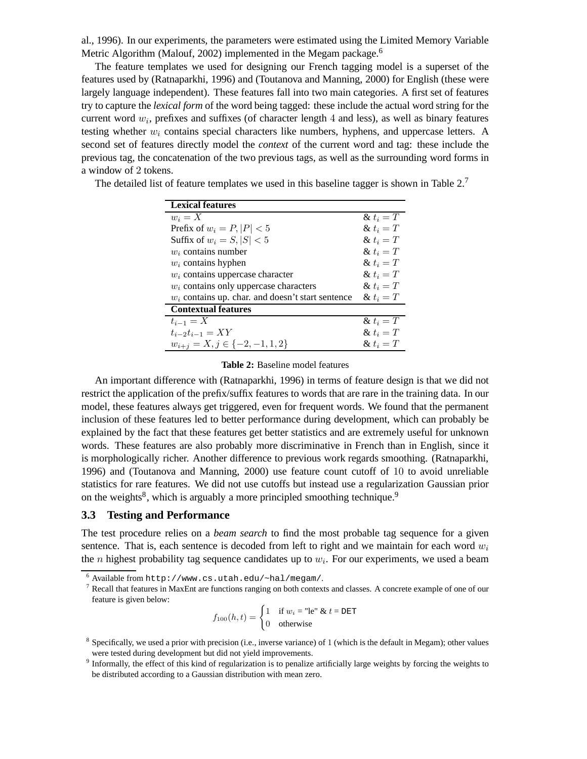al., 1996). In our experiments, the parameters were estimated using the Limited Memory Variable Metric Algorithm (Malouf, 2002) implemented in the Megam package.<sup>6</sup>

The feature templates we used for designing our French tagging model is a superset of the features used by (Ratnaparkhi, 1996) and (Toutanova and Manning, 2000) for English (these were largely language independent). These features fall into two main categories. A first set of features try to capture the *lexical form* of the word being tagged: these include the actual word string for the current word  $w_i$ , prefixes and suffixes (of character length 4 and less), as well as binary features testing whether  $w_i$  contains special characters like numbers, hyphens, and uppercase letters. A second set of features directly model the *context* of the current word and tag: these include the previous tag, the concatenation of the two previous tags, as well as the surrounding word forms in a window of 2 tokens.

| <b>Lexical features</b>                             |              |
|-----------------------------------------------------|--------------|
| $w_i = X$                                           | $\& t_i = T$ |
| Prefix of $w_i = P$ , $ P $ < 5                     | & $t_i = T$  |
| Suffix of $w_i = S,  S  < 5$                        | & $t_i = T$  |
| $w_i$ contains number                               | & $t_i = T$  |
| $w_i$ contains hyphen                               | $\& t_i = T$ |
| $w_i$ contains uppercase character                  | $\& t_i = T$ |
| $w_i$ contains only uppercase characters            | $\& t_i = T$ |
| $w_i$ contains up. char. and doesn't start sentence | $\& t_i = T$ |
| <b>Contextual features</b>                          |              |
| $t_{i-1}=X$                                         | $\& t_i = T$ |
| $t_{i-2}t_{i-1} = XY$                               | & $t_i = T$  |
| $w_{i+j} = X, j \in \{-2, -1, 1, 2\}$               | & $t_i = T$  |

The detailed list of feature templates we used in this baseline tagger is shown in Table  $2<sup>7</sup>$ 

#### **Table 2:** Baseline model features

An important difference with (Ratnaparkhi, 1996) in terms of feature design is that we did not restrict the application of the prefix/suffix features to words that are rare in the training data. In our model, these features always get triggered, even for frequent words. We found that the permanent inclusion of these features led to better performance during development, which can probably be explained by the fact that these features get better statistics and are extremely useful for unknown words. These features are also probably more discriminative in French than in English, since it is morphologically richer. Another difference to previous work regards smoothing. (Ratnaparkhi, 1996) and (Toutanova and Manning, 2000) use feature count cutoff of 10 to avoid unreliable statistics for rare features. We did not use cutoffs but instead use a regularization Gaussian prior on the weights<sup>8</sup>, which is arguably a more principled smoothing technique.<sup>9</sup>

#### **3.3 Testing and Performance**

The test procedure relies on a *beam search* to find the most probable tag sequence for a given sentence. That is, each sentence is decoded from left to right and we maintain for each word  $w_i$ the *n* highest probability tag sequence candidates up to  $w_i$ . For our experiments, we used a beam

$$
f_{100}(h, t) = \begin{cases} 1 & \text{if } w_i = \text{"le" & t = \texttt{DET} \\ 0 & \text{otherwise} \end{cases}
$$

<sup>6</sup> Available from http://www.cs.utah.edu/~hal/megam/.

<sup>7</sup> Recall that features in MaxEnt are functions ranging on both contexts and classes. A concrete example of one of our feature is given below:

 $8$  Specifically, we used a prior with precision (i.e., inverse variance) of 1 (which is the default in Megam); other values were tested during development but did not yield improvements.

<sup>&</sup>lt;sup>9</sup> Informally, the effect of this kind of regularization is to penalize artificially large weights by forcing the weights to be distributed according to a Gaussian distribution with mean zero.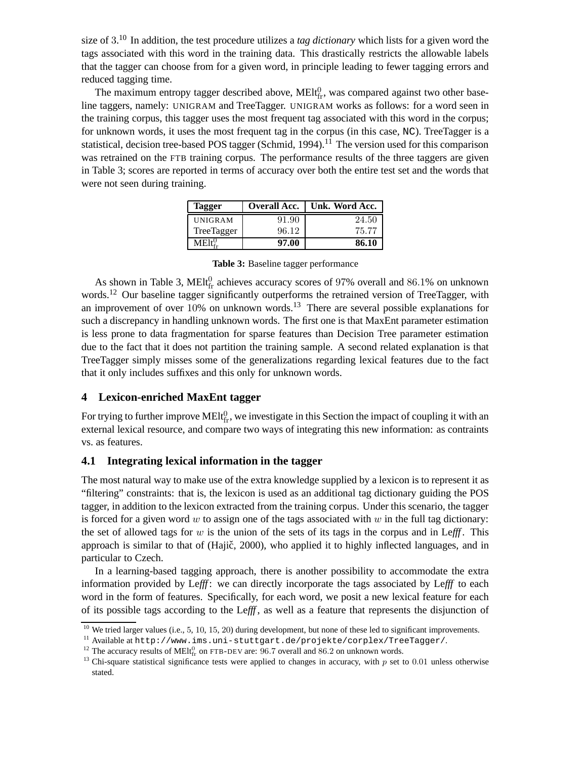size of 3. <sup>10</sup> In addition, the test procedure utilizes a *tag dictionary* which lists for a given word the tags associated with this word in the training data. This drastically restricts the allowable labels that the tagger can choose from for a given word, in principle leading to fewer tagging errors and reduced tagging time.

The maximum entropy tagger described above,  $MELf<sub>fr</sub>$ , was compared against two other baseline taggers, namely: UNIGRAM and TreeTagger. UNIGRAM works as follows: for a word seen in the training corpus, this tagger uses the most frequent tag associated with this word in the corpus; for unknown words, it uses the most frequent tag in the corpus (in this case, NC). TreeTagger is a statistical, decision tree-based POS tagger (Schmid, 1994).<sup>11</sup> The version used for this comparison was retrained on the FTB training corpus. The performance results of the three taggers are given in Table 3; scores are reported in terms of accuracy over both the entire test set and the words that were not seen during training.

| Tagger         | <b>Overall Acc.</b> | Unk. Word Acc. 1 |
|----------------|---------------------|------------------|
| <b>UNIGRAM</b> | 91.90               | 24.50            |
| TreeTagger     | 96.12               | 75.77            |
|                | 97.00               | 86.10            |

**Table 3:** Baseline tagger performance

As shown in Table 3, MElt $_{\text{fr}}^0$  achieves accuracy scores of 97% overall and 86.1% on unknown words.<sup>12</sup> Our baseline tagger significantly outperforms the retrained version of TreeTagger, with an improvement of over  $10\%$  on unknown words.<sup>13</sup> There are several possible explanations for such a discrepancy in handling unknown words. The first one is that MaxEnt parameter estimation is less prone to data fragmentation for sparse features than Decision Tree parameter estimation due to the fact that it does not partition the training sample. A second related explanation is that TreeTagger simply misses some of the generalizations regarding lexical features due to the fact that it only includes suffixes and this only for unknown words.

## **4 Lexicon-enriched MaxEnt tagger**

For trying to further improve MEIt<sup>0</sup><sub>fr</sub>, we investigate in this Section the impact of coupling it with an external lexical resource, and compare two ways of integrating this new information: as contraints vs. as features.

### **4.1 Integrating lexical information in the tagger**

The most natural way to make use of the extra knowledge supplied by a lexicon is to represent it as "filtering" constraints: that is, the lexicon is used as an additional tag dictionary guiding the POS tagger, in addition to the lexicon extracted from the training corpus. Under this scenario, the tagger is forced for a given word w to assign one of the tags associated with  $w$  in the full tag dictionary: the set of allowed tags for  $w$  is the union of the sets of its tags in the corpus and in Lefff. This approach is similar to that of (Hajič, 2000), who applied it to highly inflected languages, and in particular to Czech.

In a learning-based tagging approach, there is another possibility to accommodate the extra information provided by Le*fff* : we can directly incorporate the tags associated by Le*fff* to each word in the form of features. Specifically, for each word, we posit a new lexical feature for each of its possible tags according to the Le*fff* , as well as a feature that represents the disjunction of

<sup>&</sup>lt;sup>10</sup> We tried larger values (i.e., 5, 10, 15, 20) during development, but none of these led to significant improvements.

<sup>11</sup> Available at http://www.ims.uni-stuttgart.de/projekte/corplex/TreeTagger/.

<sup>&</sup>lt;sup>12</sup> The accuracy results of MEIt $_{\text{fr}}^0$  on FTB-DEV are: 96.7 overall and 86.2 on unknown words.

<sup>&</sup>lt;sup>13</sup> Chi-square statistical significance tests were applied to changes in accuracy, with  $p$  set to 0.01 unless otherwise stated.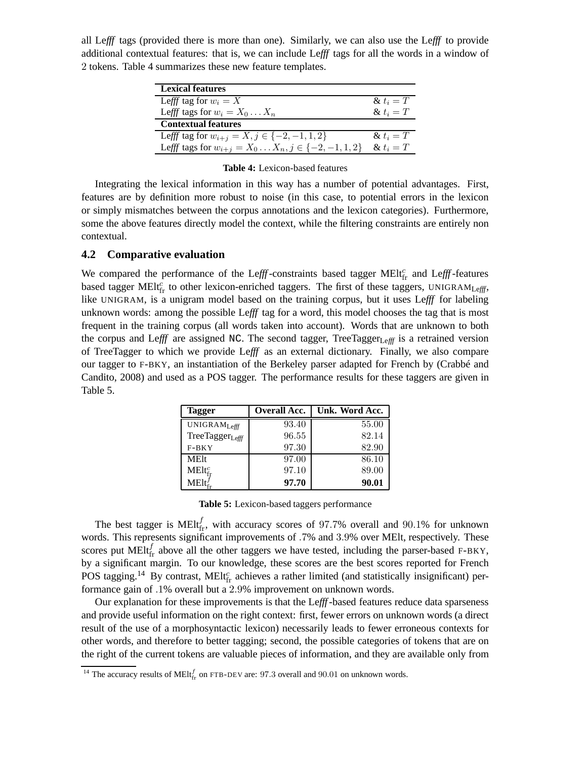all Le*fff* tags (provided there is more than one). Similarly, we can also use the Le*fff* to provide additional contextual features: that is, we can include Le*fff* tags for all the words in a window of 2 tokens. Table 4 summarizes these new feature templates.

| <b>Lexical features</b>                                          |              |
|------------------------------------------------------------------|--------------|
| Lefff tag for $w_i = X$                                          | & $t_i = T$  |
| Lefff tags for $w_i = X_0 \dots X_n$                             | $\& t_i = T$ |
| <b>Contextual features</b>                                       |              |
| Lefff tag for $w_{i+j} = X, j \in \{-2, -1, 1, 2\}$              | $\& t_i = T$ |
| Lefff tags for $w_{i+j} = X_0 \dots X_n, j \in \{-2, -1, 1, 2\}$ | & $t_i = T$  |

#### **Table 4:** Lexicon-based features

Integrating the lexical information in this way has a number of potential advantages. First, features are by definition more robust to noise (in this case, to potential errors in the lexicon or simply mismatches between the corpus annotations and the lexicon categories). Furthermore, some the above features directly model the context, while the filtering constraints are entirely non contextual.

#### **4.2 Comparative evaluation**

We compared the performance of the Lefff-constraints based tagger MElt<sup>c</sup><sub>fr</sub> and Lefff-features based tagger MElt<sup>c</sup><sub>fr</sub> to other lexicon-enriched taggers. The first of these taggers, UNIGRAM<sub>Lefff</sub>, like UNIGRAM, is a unigram model based on the training corpus, but it uses Le*fff* for labeling unknown words: among the possible Le*fff* tag for a word, this model chooses the tag that is most frequent in the training corpus (all words taken into account). Words that are unknown to both the corpus and Lefff are assigned NC. The second tagger, TreeTagger<sub>Lefff</sub> is a retrained version of TreeTagger to which we provide Le*fff* as an external dictionary. Finally, we also compare our tagger to F-BKY, an instantiation of the Berkeley parser adapted for French by (Crabbé and Candito, 2008) and used as a POS tagger. The performance results for these taggers are given in Table 5.

| <b>Tagger</b>                   | <b>Overall Acc.</b> | Unk. Word Acc. |
|---------------------------------|---------------------|----------------|
| UNIGRAMLefff                    | 93.40               | 55.00          |
| TreeTagger <sub>Lefff</sub>     | 96.55               | 82.14          |
| $F-BKY$                         | 97.30               | 82.90          |
| <b>MElt</b>                     | 97.00               | 86.10          |
| $\mathrm{MElt}^c_{\mathrm{fr}}$ | 97.10               | 89.00          |
| $MElt_{c}^{J}$                  | 97.70               | 90.01          |

| Table 5: Lexicon-based taggers performance |  |  |
|--------------------------------------------|--|--|
|--------------------------------------------|--|--|

The best tagger is MElt $_{\text{fr}}^{f}$ , with accuracy scores of 97.7% overall and 90.1% for unknown words. This represents significant improvements of .7% and 3.9% over MElt, respectively. These scores put MEIt $_{\text{fr}}^{f}$  above all the other taggers we have tested, including the parser-based F-BKY, by a significant margin. To our knowledge, these scores are the best scores reported for French POS tagging.<sup>14</sup> By contrast, MElt $_{\text{fr}}^c$  achieves a rather limited (and statistically insignificant) performance gain of .1% overall but a 2.9% improvement on unknown words.

Our explanation for these improvements is that the Le*fff*-based features reduce data sparseness and provide useful information on the right context: first, fewer errors on unknown words (a direct result of the use of a morphosyntactic lexicon) necessarily leads to fewer erroneous contexts for other words, and therefore to better tagging; second, the possible categories of tokens that are on the right of the current tokens are valuable pieces of information, and they are available only from

<sup>&</sup>lt;sup>14</sup> The accuracy results of MElt<sup>f</sup><sub>fr</sub> on FTB-DEV are: 97.3 overall and 90.01 on unknown words.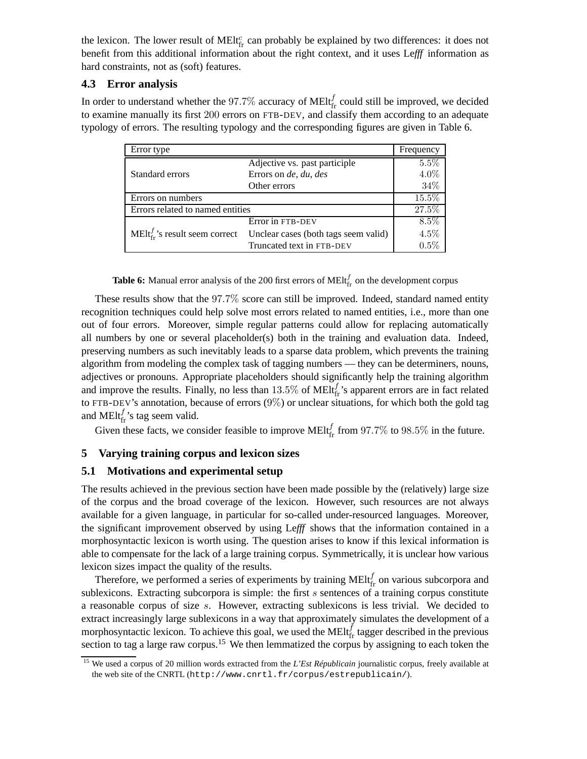the lexicon. The lower result of MEI $t_{\text{fr}}^c$  can probably be explained by two differences: it does not benefit from this additional information about the right context, and it uses Le*fff* information as hard constraints, not as (soft) features.

## **4.3 Error analysis**

In order to understand whether the 97.7% accuracy of MEIt $_{\text{fr}}^{f}$  could still be improved, we decided to examine manually its first 200 errors on FTB-DEV, and classify them according to an adequate typology of errors. The resulting typology and the corresponding figures are given in Table 6.

| Error type                                           |                                      | Frequency |
|------------------------------------------------------|--------------------------------------|-----------|
|                                                      | Adjective vs. past participle        | 5.5%      |
| Standard errors                                      | Errors on de, du, des                | 4.0%      |
|                                                      | Other errors                         | 34%       |
| Errors on numbers                                    |                                      | 15.5%     |
| Errors related to named entities                     |                                      | 27.5%     |
|                                                      | Error in FTB-DEV                     | 8.5%      |
| $\text{MElt}_{\text{fr}}^{f}$ 's result seem correct | Unclear cases (both tags seem valid) | 4.5%      |
|                                                      | Truncated text in FTB-DEV            | 0.5%      |

**Table 6:** Manual error analysis of the 200 first errors of  $M E I_{\text{fr}}^{f}$  on the development corpus

These results show that the 97.7% score can still be improved. Indeed, standard named entity recognition techniques could help solve most errors related to named entities, i.e., more than one out of four errors. Moreover, simple regular patterns could allow for replacing automatically all numbers by one or several placeholder(s) both in the training and evaluation data. Indeed, preserving numbers as such inevitably leads to a sparse data problem, which prevents the training algorithm from modeling the complex task of tagging numbers — they can be determiners, nouns, adjectives or pronouns. Appropriate placeholders should significantly help the training algorithm and improve the results. Finally, no less than  $13.5\%$  of MElt $f_r$ 's apparent errors are in fact related to FTB-DEV's annotation, because of errors (9%) or unclear situations, for which both the gold tag and MElt $_{\text{fr}}^{f}$ 's tag seem valid.

Given these facts, we consider feasible to improve MEIt $_{\text{fr}}^{f}$  from 97.7% to 98.5% in the future.

# **5 Varying training corpus and lexicon sizes**

## **5.1 Motivations and experimental setup**

The results achieved in the previous section have been made possible by the (relatively) large size of the corpus and the broad coverage of the lexicon. However, such resources are not always available for a given language, in particular for so-called under-resourced languages. Moreover, the significant improvement observed by using Le*fff* shows that the information contained in a morphosyntactic lexicon is worth using. The question arises to know if this lexical information is able to compensate for the lack of a large training corpus. Symmetrically, it is unclear how various lexicon sizes impact the quality of the results.

Therefore, we performed a series of experiments by training MEIt $_{\text{fr}}^{f}$  on various subcorpora and sublexicons. Extracting subcorpora is simple: the first s sentences of a training corpus constitute a reasonable corpus of size s. However, extracting sublexicons is less trivial. We decided to extract increasingly large sublexicons in a way that approximately simulates the development of a morphosyntactic lexicon. To achieve this goal, we used the MEIt $_{\text{fr}}^{f}$  tagger described in the previous section to tag a large raw corpus.<sup>15</sup> We then lemmatized the corpus by assigning to each token the

<sup>&</sup>lt;sup>15</sup> We used a corpus of 20 million words extracted from the *L'Est Républicain* journalistic corpus, freely available at the web site of the CNRTL (http://www.cnrtl.fr/corpus/estrepublicain/).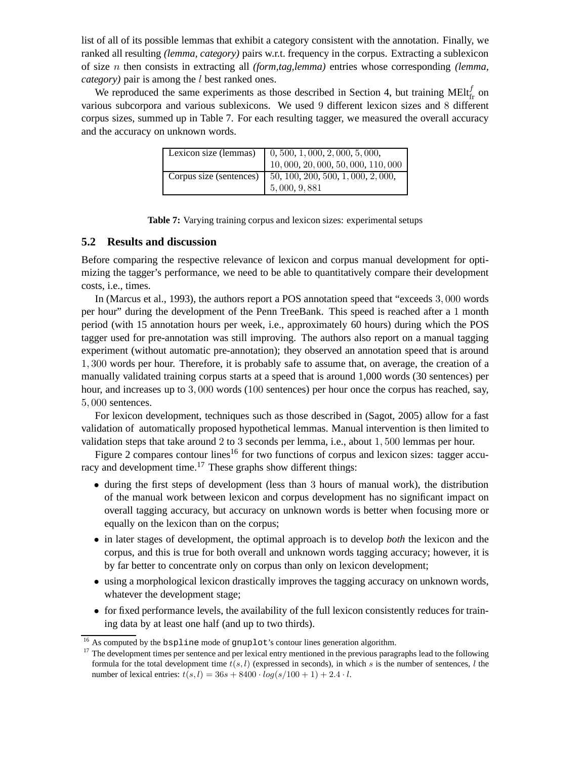list of all of its possible lemmas that exhibit a category consistent with the annotation. Finally, we ranked all resulting *(lemma, category)* pairs w.r.t. frequency in the corpus. Extracting a sublexicon of size n then consists in extracting all *(form,tag,lemma)* entries whose corresponding *(lemma, category*) pair is among the *l* best ranked ones.

We reproduced the same experiments as those described in Section 4, but training MElt $_f^f$  on various subcorpora and various sublexicons. We used 9 different lexicon sizes and 8 different corpus sizes, summed up in Table 7. For each resulting tagger, we measured the overall accuracy and the accuracy on unknown words.

| Lexicon size (lemmas)   | $0, 500, 1, 000, 2, 000, 5, 000,$<br>10, 000, 20, 000, 50, 000, 110, 000 |
|-------------------------|--------------------------------------------------------------------------|
| Corpus size (sentences) | 50, 100, 200, 500, 1, 000, 2, 000,<br>5,000, 9,881                       |

| Table 7: Varying training corpus and lexicon sizes: experimental setups |  |  |  |  |  |  |  |  |
|-------------------------------------------------------------------------|--|--|--|--|--|--|--|--|
|-------------------------------------------------------------------------|--|--|--|--|--|--|--|--|

### **5.2 Results and discussion**

Before comparing the respective relevance of lexicon and corpus manual development for optimizing the tagger's performance, we need to be able to quantitatively compare their development costs, i.e., times.

In (Marcus et al., 1993), the authors report a POS annotation speed that "exceeds 3, 000 words per hour" during the development of the Penn TreeBank. This speed is reached after a 1 month period (with 15 annotation hours per week, i.e., approximately 60 hours) during which the POS tagger used for pre-annotation was still improving. The authors also report on a manual tagging experiment (without automatic pre-annotation); they observed an annotation speed that is around 1, 300 words per hour. Therefore, it is probably safe to assume that, on average, the creation of a manually validated training corpus starts at a speed that is around 1,000 words (30 sentences) per hour, and increases up to 3, 000 words (100 sentences) per hour once the corpus has reached, say, 5, 000 sentences.

For lexicon development, techniques such as those described in (Sagot, 2005) allow for a fast validation of automatically proposed hypothetical lemmas. Manual intervention is then limited to validation steps that take around 2 to 3 seconds per lemma, i.e., about 1, 500 lemmas per hour.

Figure 2 compares contour lines<sup>16</sup> for two functions of corpus and lexicon sizes: tagger accuracy and development time.<sup>17</sup> These graphs show different things:

- during the first steps of development (less than 3 hours of manual work), the distribution of the manual work between lexicon and corpus development has no significant impact on overall tagging accuracy, but accuracy on unknown words is better when focusing more or equally on the lexicon than on the corpus;
- in later stages of development, the optimal approach is to develop *both* the lexicon and the corpus, and this is true for both overall and unknown words tagging accuracy; however, it is by far better to concentrate only on corpus than only on lexicon development;
- using a morphological lexicon drastically improves the tagging accuracy on unknown words, whatever the development stage;
- for fixed performance levels, the availability of the full lexicon consistently reduces for training data by at least one half (and up to two thirds).

<sup>&</sup>lt;sup>16</sup> As computed by the bspline mode of gnuplot's contour lines generation algorithm.

<sup>&</sup>lt;sup>17</sup> The development times per sentence and per lexical entry mentioned in the previous paragraphs lead to the following formula for the total development time  $t(s, l)$  (expressed in seconds), in which s is the number of sentences, l the number of lexical entries:  $t(s, l) = 36s + 8400 \cdot log(s/100 + 1) + 2.4 \cdot l$ .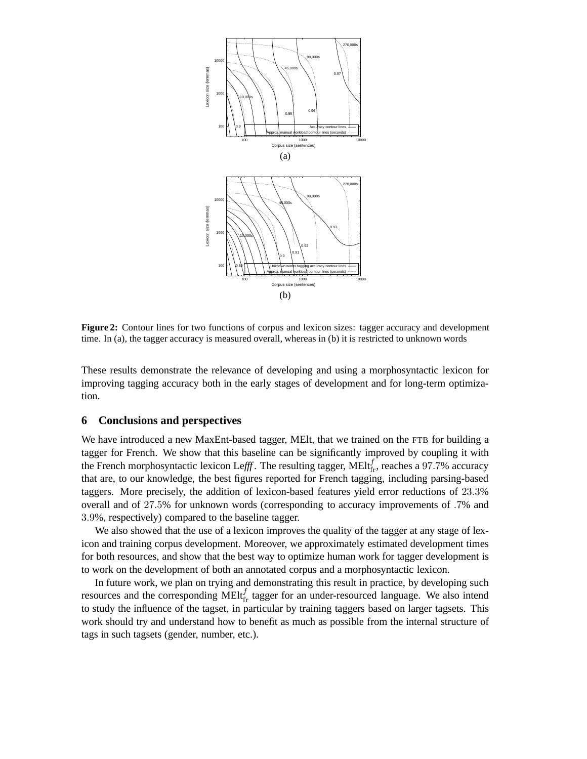

**Figure 2:** Contour lines for two functions of corpus and lexicon sizes: tagger accuracy and development time. In (a), the tagger accuracy is measured overall, whereas in (b) it is restricted to unknown words

These results demonstrate the relevance of developing and using a morphosyntactic lexicon for improving tagging accuracy both in the early stages of development and for long-term optimization.

### **6 Conclusions and perspectives**

We have introduced a new MaxEnt-based tagger, MEIt, that we trained on the FTB for building a tagger for French. We show that this baseline can be significantly improved by coupling it with the French morphosyntactic lexicon Lefff. The resulting tagger, MElt $f_{\text{fr}}$ , reaches a 97.7% accuracy that are, to our knowledge, the best figures reported for French tagging, including parsing-based taggers. More precisely, the addition of lexicon-based features yield error reductions of 23.3% overall and of 27.5% for unknown words (corresponding to accuracy improvements of .7% and 3.9%, respectively) compared to the baseline tagger.

We also showed that the use of a lexicon improves the quality of the tagger at any stage of lexicon and training corpus development. Moreover, we approximately estimated development times for both resources, and show that the best way to optimize human work for tagger development is to work on the development of both an annotated corpus and a morphosyntactic lexicon.

In future work, we plan on trying and demonstrating this result in practice, by developing such resources and the corresponding MEIt $f_{\text{fr}}$  tagger for an under-resourced language. We also intend to study the influence of the tagset, in particular by training taggers based on larger tagsets. This work should try and understand how to benefit as much as possible from the internal structure of tags in such tagsets (gender, number, etc.).